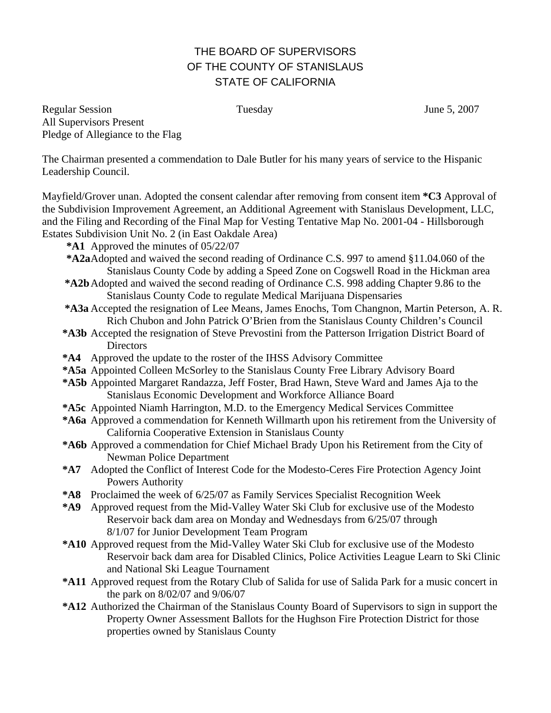## THE BOARD OF SUPERVISORS OF THE COUNTY OF STANISLAUS STATE OF CALIFORNIA

Regular Session Tuesday Tuesday June 5, 2007 All Supervisors Present Pledge of Allegiance to the Flag

The Chairman presented a commendation to Dale Butler for his many years of service to the Hispanic Leadership Council.

Mayfield/Grover unan. Adopted the consent calendar after removing from consent item **\*C3** Approval of the Subdivision Improvement Agreement, an Additional Agreement with Stanislaus Development, LLC, and the Filing and Recording of the Final Map for Vesting Tentative Map No. 2001-04 - Hillsborough Estates Subdivision Unit No. 2 (in East Oakdale Area)

**\*A1** Approved the minutes of 05/22/07

- **\*A2a** Adopted and waived the second reading of Ordinance C.S. 997 to amend §11.04.060 of the Stanislaus County Code by adding a Speed Zone on Cogswell Road in the Hickman area
- **\*A2b** Adopted and waived the second reading of Ordinance C.S. 998 adding Chapter 9.86 to the Stanislaus County Code to regulate Medical Marijuana Dispensaries
- **\*A3a** Accepted the resignation of Lee Means, James Enochs, Tom Changnon, Martin Peterson, A. R. Rich Chubon and John Patrick O'Brien from the Stanislaus County Children's Council
- **\*A3b** Accepted the resignation of Steve Prevostini from the Patterson Irrigation District Board of **Directors**
- **\*A4** Approved the update to the roster of the IHSS Advisory Committee
- **\*A5a** Appointed Colleen McSorley to the Stanislaus County Free Library Advisory Board
- **\*A5b** Appointed Margaret Randazza, Jeff Foster, Brad Hawn, Steve Ward and James Aja to the Stanislaus Economic Development and Workforce Alliance Board
- **\*A5c** Appointed Niamh Harrington, M.D. to the Emergency Medical Services Committee
- **\*A6a** Approved a commendation for Kenneth Willmarth upon his retirement from the University of California Cooperative Extension in Stanislaus County
- **\*A6b** Approved a commendation for Chief Michael Brady Upon his Retirement from the City of Newman Police Department
- **\*A7** Adopted the Conflict of Interest Code for the Modesto-Ceres Fire Protection Agency Joint Powers Authority
- **\*A8** Proclaimed the week of 6/25/07 as Family Services Specialist Recognition Week
- **\*A9** Approved request from the Mid-Valley Water Ski Club for exclusive use of the Modesto Reservoir back dam area on Monday and Wednesdays from 6/25/07 through 8/1/07 for Junior Development Team Program
- **\*A10** Approved request from the Mid-Valley Water Ski Club for exclusive use of the Modesto Reservoir back dam area for Disabled Clinics, Police Activities League Learn to Ski Clinic and National Ski League Tournament
- **\*A11** Approved request from the Rotary Club of Salida for use of Salida Park for a music concert in the park on 8/02/07 and 9/06/07
- **\*A12** Authorized the Chairman of the Stanislaus County Board of Supervisors to sign in support the Property Owner Assessment Ballots for the Hughson Fire Protection District for those properties owned by Stanislaus County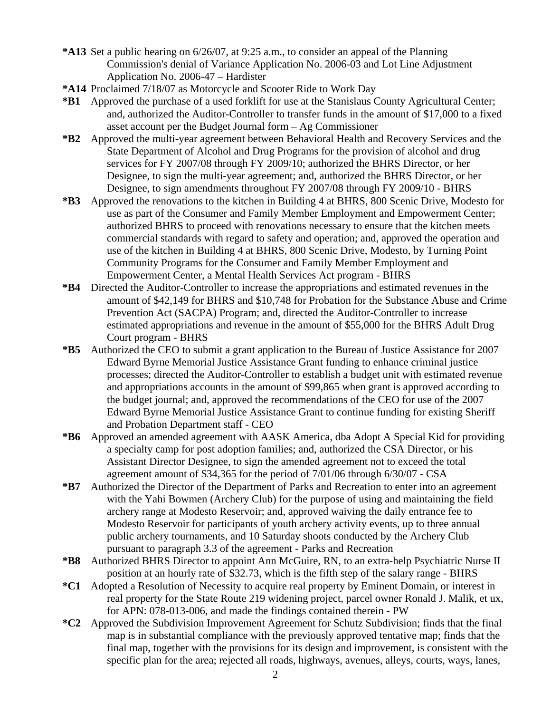- **\*A13** Set a public hearing on 6/26/07, at 9:25 a.m., to consider an appeal of the Planning Commission's denial of Variance Application No. 2006-03 and Lot Line Adjustment Application No. 2006-47 – Hardister
- **\*A14** Proclaimed 7/18/07 as Motorcycle and Scooter Ride to Work Day
- **\*B1** Approved the purchase of a used forklift for use at the Stanislaus County Agricultural Center; and, authorized the Auditor-Controller to transfer funds in the amount of \$17,000 to a fixed asset account per the Budget Journal form – Ag Commissioner
- **\*B2** Approved the multi-year agreement between Behavioral Health and Recovery Services and the State Department of Alcohol and Drug Programs for the provision of alcohol and drug services for FY 2007/08 through FY 2009/10; authorized the BHRS Director, or her Designee, to sign the multi-year agreement; and, authorized the BHRS Director, or her Designee, to sign amendments throughout FY 2007/08 through FY 2009/10 - BHRS
- **\*B3** Approved the renovations to the kitchen in Building 4 at BHRS, 800 Scenic Drive, Modesto for use as part of the Consumer and Family Member Employment and Empowerment Center; authorized BHRS to proceed with renovations necessary to ensure that the kitchen meets commercial standards with regard to safety and operation; and, approved the operation and use of the kitchen in Building 4 at BHRS, 800 Scenic Drive, Modesto, by Turning Point Community Programs for the Consumer and Family Member Employment and Empowerment Center, a Mental Health Services Act program - BHRS
- **\*B4** Directed the Auditor-Controller to increase the appropriations and estimated revenues in the amount of \$42,149 for BHRS and \$10,748 for Probation for the Substance Abuse and Crime Prevention Act (SACPA) Program; and, directed the Auditor-Controller to increase estimated appropriations and revenue in the amount of \$55,000 for the BHRS Adult Drug Court program - BHRS
- **\*B5** Authorized the CEO to submit a grant application to the Bureau of Justice Assistance for 2007 Edward Byrne Memorial Justice Assistance Grant funding to enhance criminal justice processes; directed the Auditor-Controller to establish a budget unit with estimated revenue and appropriations accounts in the amount of \$99,865 when grant is approved according to the budget journal; and, approved the recommendations of the CEO for use of the 2007 Edward Byrne Memorial Justice Assistance Grant to continue funding for existing Sheriff and Probation Department staff - CEO
- **\*B6** Approved an amended agreement with AASK America, dba Adopt A Special Kid for providing a specialty camp for post adoption families; and, authorized the CSA Director, or his Assistant Director Designee, to sign the amended agreement not to exceed the total agreement amount of \$34,365 for the period of 7/01/06 through 6/30/07 - CSA
- **\*B7** Authorized the Director of the Department of Parks and Recreation to enter into an agreement with the Yahi Bowmen (Archery Club) for the purpose of using and maintaining the field archery range at Modesto Reservoir; and, approved waiving the daily entrance fee to Modesto Reservoir for participants of youth archery activity events, up to three annual public archery tournaments, and 10 Saturday shoots conducted by the Archery Club pursuant to paragraph 3.3 of the agreement - Parks and Recreation
- **\*B8** Authorized BHRS Director to appoint Ann McGuire, RN, to an extra-help Psychiatric Nurse II position at an hourly rate of \$32.73, which is the fifth step of the salary range - BHRS
- **\*C1** Adopted a Resolution of Necessity to acquire real property by Eminent Domain, or interest in real property for the State Route 219 widening project, parcel owner Ronald J. Malik, et ux, for APN: 078-013-006, and made the findings contained therein - PW
- **\*C2** Approved the Subdivision Improvement Agreement for Schutz Subdivision; finds that the final map is in substantial compliance with the previously approved tentative map; finds that the final map, together with the provisions for its design and improvement, is consistent with the specific plan for the area; rejected all roads, highways, avenues, alleys, courts, ways, lanes,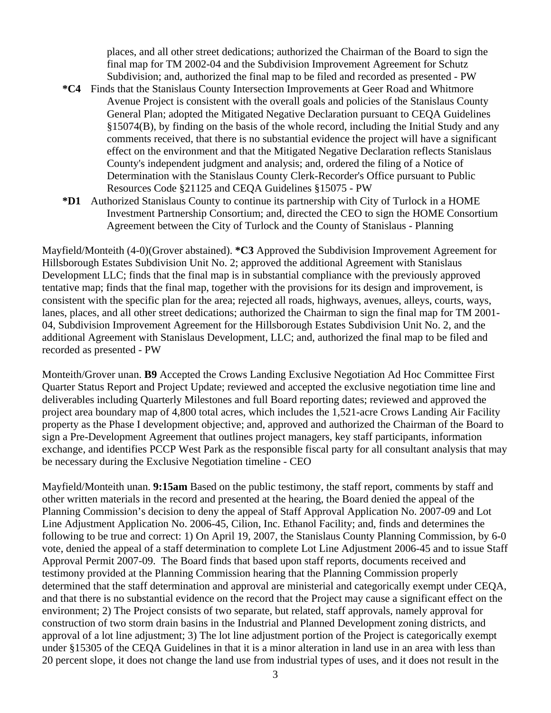places, and all other street dedications; authorized the Chairman of the Board to sign the final map for TM 2002-04 and the Subdivision Improvement Agreement for Schutz Subdivision; and, authorized the final map to be filed and recorded as presented - PW

- **\*C4** Finds that the Stanislaus County Intersection Improvements at Geer Road and Whitmore Avenue Project is consistent with the overall goals and policies of the Stanislaus County General Plan; adopted the Mitigated Negative Declaration pursuant to CEQA Guidelines §15074(B), by finding on the basis of the whole record, including the Initial Study and any comments received, that there is no substantial evidence the project will have a significant effect on the environment and that the Mitigated Negative Declaration reflects Stanislaus County's independent judgment and analysis; and, ordered the filing of a Notice of Determination with the Stanislaus County Clerk-Recorder's Office pursuant to Public Resources Code §21125 and CEQA Guidelines §15075 - PW
- **\*D1** Authorized Stanislaus County to continue its partnership with City of Turlock in a HOME Investment Partnership Consortium; and, directed the CEO to sign the HOME Consortium Agreement between the City of Turlock and the County of Stanislaus - Planning

Mayfield/Monteith (4-0)(Grover abstained). **\*C3** Approved the Subdivision Improvement Agreement for Hillsborough Estates Subdivision Unit No. 2; approved the additional Agreement with Stanislaus Development LLC; finds that the final map is in substantial compliance with the previously approved tentative map; finds that the final map, together with the provisions for its design and improvement, is consistent with the specific plan for the area; rejected all roads, highways, avenues, alleys, courts, ways, lanes, places, and all other street dedications; authorized the Chairman to sign the final map for TM 2001- 04, Subdivision Improvement Agreement for the Hillsborough Estates Subdivision Unit No. 2, and the additional Agreement with Stanislaus Development, LLC; and, authorized the final map to be filed and recorded as presented - PW

Monteith/Grover unan. **B9** Accepted the Crows Landing Exclusive Negotiation Ad Hoc Committee First Quarter Status Report and Project Update; reviewed and accepted the exclusive negotiation time line and deliverables including Quarterly Milestones and full Board reporting dates; reviewed and approved the project area boundary map of 4,800 total acres, which includes the 1,521-acre Crows Landing Air Facility property as the Phase I development objective; and, approved and authorized the Chairman of the Board to sign a Pre-Development Agreement that outlines project managers, key staff participants, information exchange, and identifies PCCP West Park as the responsible fiscal party for all consultant analysis that may be necessary during the Exclusive Negotiation timeline - CEO

Mayfield/Monteith unan. **9:15am** Based on the public testimony, the staff report, comments by staff and other written materials in the record and presented at the hearing, the Board denied the appeal of the Planning Commission's decision to deny the appeal of Staff Approval Application No. 2007-09 and Lot Line Adjustment Application No. 2006-45, Cilion, Inc. Ethanol Facility; and, finds and determines the following to be true and correct: 1) On April 19, 2007, the Stanislaus County Planning Commission, by 6-0 vote, denied the appeal of a staff determination to complete Lot Line Adjustment 2006-45 and to issue Staff Approval Permit 2007-09. The Board finds that based upon staff reports, documents received and testimony provided at the Planning Commission hearing that the Planning Commission properly determined that the staff determination and approval are ministerial and categorically exempt under CEQA, and that there is no substantial evidence on the record that the Project may cause a significant effect on the environment; 2) The Project consists of two separate, but related, staff approvals, namely approval for construction of two storm drain basins in the Industrial and Planned Development zoning districts, and approval of a lot line adjustment; 3) The lot line adjustment portion of the Project is categorically exempt under §15305 of the CEQA Guidelines in that it is a minor alteration in land use in an area with less than 20 percent slope, it does not change the land use from industrial types of uses, and it does not result in the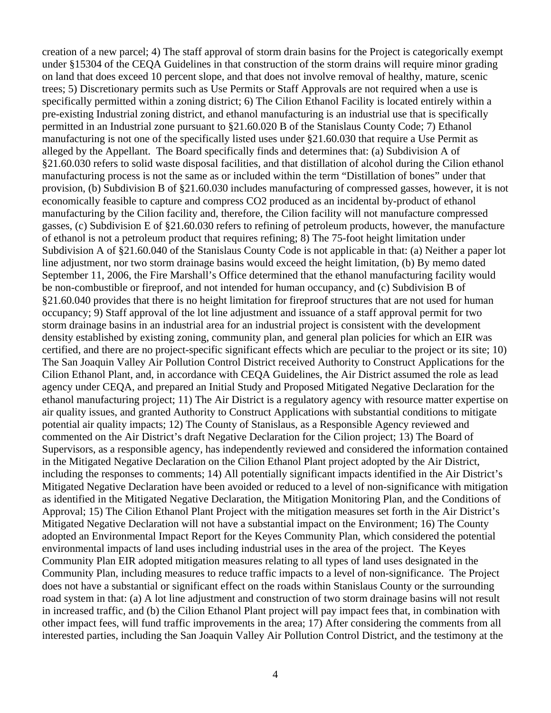creation of a new parcel; 4) The staff approval of storm drain basins for the Project is categorically exempt under §15304 of the CEQA Guidelines in that construction of the storm drains will require minor grading on land that does exceed 10 percent slope, and that does not involve removal of healthy, mature, scenic trees; 5) Discretionary permits such as Use Permits or Staff Approvals are not required when a use is specifically permitted within a zoning district; 6) The Cilion Ethanol Facility is located entirely within a pre-existing Industrial zoning district, and ethanol manufacturing is an industrial use that is specifically permitted in an Industrial zone pursuant to §21.60.020 B of the Stanislaus County Code; 7) Ethanol manufacturing is not one of the specifically listed uses under §21.60.030 that require a Use Permit as alleged by the Appellant. The Board specifically finds and determines that: (a) Subdivision A of §21.60.030 refers to solid waste disposal facilities, and that distillation of alcohol during the Cilion ethanol manufacturing process is not the same as or included within the term "Distillation of bones" under that provision, (b) Subdivision B of §21.60.030 includes manufacturing of compressed gasses, however, it is not economically feasible to capture and compress CO2 produced as an incidental by-product of ethanol manufacturing by the Cilion facility and, therefore, the Cilion facility will not manufacture compressed gasses, (c) Subdivision E of §21.60.030 refers to refining of petroleum products, however, the manufacture of ethanol is not a petroleum product that requires refining; 8) The 75-foot height limitation under Subdivision A of §21.60.040 of the Stanislaus County Code is not applicable in that: (a) Neither a paper lot line adjustment, nor two storm drainage basins would exceed the height limitation, (b) By memo dated September 11, 2006, the Fire Marshall's Office determined that the ethanol manufacturing facility would be non-combustible or fireproof, and not intended for human occupancy, and (c) Subdivision B of §21.60.040 provides that there is no height limitation for fireproof structures that are not used for human occupancy; 9) Staff approval of the lot line adjustment and issuance of a staff approval permit for two storm drainage basins in an industrial area for an industrial project is consistent with the development density established by existing zoning, community plan, and general plan policies for which an EIR was certified, and there are no project-specific significant effects which are peculiar to the project or its site; 10) The San Joaquin Valley Air Pollution Control District received Authority to Construct Applications for the Cilion Ethanol Plant, and, in accordance with CEQA Guidelines, the Air District assumed the role as lead agency under CEQA, and prepared an Initial Study and Proposed Mitigated Negative Declaration for the ethanol manufacturing project; 11) The Air District is a regulatory agency with resource matter expertise on air quality issues, and granted Authority to Construct Applications with substantial conditions to mitigate potential air quality impacts; 12) The County of Stanislaus, as a Responsible Agency reviewed and commented on the Air District's draft Negative Declaration for the Cilion project; 13) The Board of Supervisors, as a responsible agency, has independently reviewed and considered the information contained in the Mitigated Negative Declaration on the Cilion Ethanol Plant project adopted by the Air District, including the responses to comments; 14) All potentially significant impacts identified in the Air District's Mitigated Negative Declaration have been avoided or reduced to a level of non-significance with mitigation as identified in the Mitigated Negative Declaration, the Mitigation Monitoring Plan, and the Conditions of Approval; 15) The Cilion Ethanol Plant Project with the mitigation measures set forth in the Air District's Mitigated Negative Declaration will not have a substantial impact on the Environment; 16) The County adopted an Environmental Impact Report for the Keyes Community Plan, which considered the potential environmental impacts of land uses including industrial uses in the area of the project. The Keyes Community Plan EIR adopted mitigation measures relating to all types of land uses designated in the Community Plan, including measures to reduce traffic impacts to a level of non-significance. The Project does not have a substantial or significant effect on the roads within Stanislaus County or the surrounding road system in that: (a) A lot line adjustment and construction of two storm drainage basins will not result in increased traffic, and (b) the Cilion Ethanol Plant project will pay impact fees that, in combination with other impact fees, will fund traffic improvements in the area; 17) After considering the comments from all interested parties, including the San Joaquin Valley Air Pollution Control District, and the testimony at the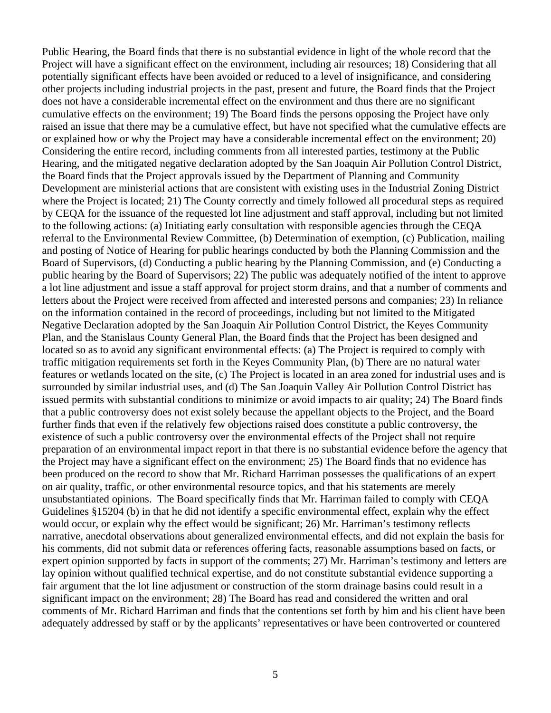Public Hearing, the Board finds that there is no substantial evidence in light of the whole record that the Project will have a significant effect on the environment, including air resources; 18) Considering that all potentially significant effects have been avoided or reduced to a level of insignificance, and considering other projects including industrial projects in the past, present and future, the Board finds that the Project does not have a considerable incremental effect on the environment and thus there are no significant cumulative effects on the environment; 19) The Board finds the persons opposing the Project have only raised an issue that there may be a cumulative effect, but have not specified what the cumulative effects are or explained how or why the Project may have a considerable incremental effect on the environment; 20) Considering the entire record, including comments from all interested parties, testimony at the Public Hearing, and the mitigated negative declaration adopted by the San Joaquin Air Pollution Control District, the Board finds that the Project approvals issued by the Department of Planning and Community Development are ministerial actions that are consistent with existing uses in the Industrial Zoning District where the Project is located; 21) The County correctly and timely followed all procedural steps as required by CEQA for the issuance of the requested lot line adjustment and staff approval, including but not limited to the following actions: (a) Initiating early consultation with responsible agencies through the CEQA referral to the Environmental Review Committee, (b) Determination of exemption, (c) Publication, mailing and posting of Notice of Hearing for public hearings conducted by both the Planning Commission and the Board of Supervisors, (d) Conducting a public hearing by the Planning Commission, and (e) Conducting a public hearing by the Board of Supervisors; 22) The public was adequately notified of the intent to approve a lot line adjustment and issue a staff approval for project storm drains, and that a number of comments and letters about the Project were received from affected and interested persons and companies; 23) In reliance on the information contained in the record of proceedings, including but not limited to the Mitigated Negative Declaration adopted by the San Joaquin Air Pollution Control District, the Keyes Community Plan, and the Stanislaus County General Plan, the Board finds that the Project has been designed and located so as to avoid any significant environmental effects: (a) The Project is required to comply with traffic mitigation requirements set forth in the Keyes Community Plan, (b) There are no natural water features or wetlands located on the site, (c) The Project is located in an area zoned for industrial uses and is surrounded by similar industrial uses, and (d) The San Joaquin Valley Air Pollution Control District has issued permits with substantial conditions to minimize or avoid impacts to air quality; 24) The Board finds that a public controversy does not exist solely because the appellant objects to the Project, and the Board further finds that even if the relatively few objections raised does constitute a public controversy, the existence of such a public controversy over the environmental effects of the Project shall not require preparation of an environmental impact report in that there is no substantial evidence before the agency that the Project may have a significant effect on the environment; 25) The Board finds that no evidence has been produced on the record to show that Mr. Richard Harriman possesses the qualifications of an expert on air quality, traffic, or other environmental resource topics, and that his statements are merely unsubstantiated opinions. The Board specifically finds that Mr. Harriman failed to comply with CEQA Guidelines §15204 (b) in that he did not identify a specific environmental effect, explain why the effect would occur, or explain why the effect would be significant; 26) Mr. Harriman's testimony reflects narrative, anecdotal observations about generalized environmental effects, and did not explain the basis for his comments, did not submit data or references offering facts, reasonable assumptions based on facts, or expert opinion supported by facts in support of the comments; 27) Mr. Harriman's testimony and letters are lay opinion without qualified technical expertise, and do not constitute substantial evidence supporting a fair argument that the lot line adjustment or construction of the storm drainage basins could result in a significant impact on the environment; 28) The Board has read and considered the written and oral comments of Mr. Richard Harriman and finds that the contentions set forth by him and his client have been adequately addressed by staff or by the applicants' representatives or have been controverted or countered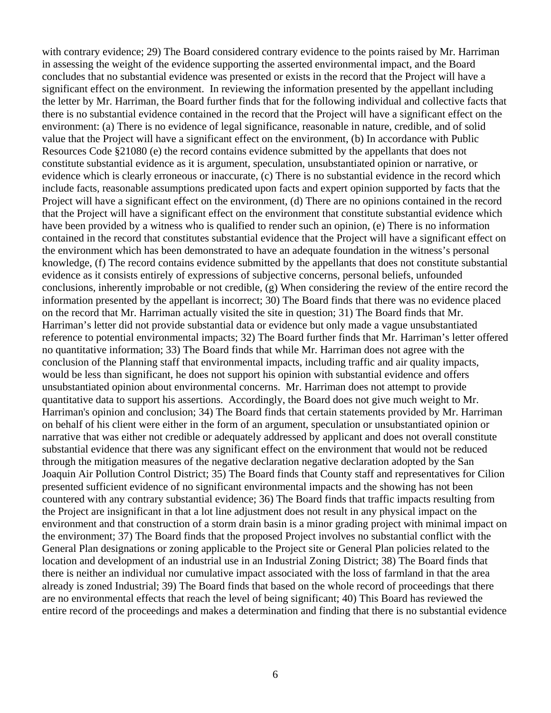with contrary evidence; 29) The Board considered contrary evidence to the points raised by Mr. Harriman in assessing the weight of the evidence supporting the asserted environmental impact, and the Board concludes that no substantial evidence was presented or exists in the record that the Project will have a significant effect on the environment. In reviewing the information presented by the appellant including the letter by Mr. Harriman, the Board further finds that for the following individual and collective facts that there is no substantial evidence contained in the record that the Project will have a significant effect on the environment: (a) There is no evidence of legal significance, reasonable in nature, credible, and of solid value that the Project will have a significant effect on the environment, (b) In accordance with Public Resources Code §21080 (e) the record contains evidence submitted by the appellants that does not constitute substantial evidence as it is argument, speculation, unsubstantiated opinion or narrative, or evidence which is clearly erroneous or inaccurate, (c) There is no substantial evidence in the record which include facts, reasonable assumptions predicated upon facts and expert opinion supported by facts that the Project will have a significant effect on the environment, (d) There are no opinions contained in the record that the Project will have a significant effect on the environment that constitute substantial evidence which have been provided by a witness who is qualified to render such an opinion, (e) There is no information contained in the record that constitutes substantial evidence that the Project will have a significant effect on the environment which has been demonstrated to have an adequate foundation in the witness's personal knowledge, (f) The record contains evidence submitted by the appellants that does not constitute substantial evidence as it consists entirely of expressions of subjective concerns, personal beliefs, unfounded conclusions, inherently improbable or not credible, (g) When considering the review of the entire record the information presented by the appellant is incorrect; 30) The Board finds that there was no evidence placed on the record that Mr. Harriman actually visited the site in question; 31) The Board finds that Mr. Harriman's letter did not provide substantial data or evidence but only made a vague unsubstantiated reference to potential environmental impacts; 32) The Board further finds that Mr. Harriman's letter offered no quantitative information; 33) The Board finds that while Mr. Harriman does not agree with the conclusion of the Planning staff that environmental impacts, including traffic and air quality impacts, would be less than significant, he does not support his opinion with substantial evidence and offers unsubstantiated opinion about environmental concerns. Mr. Harriman does not attempt to provide quantitative data to support his assertions. Accordingly, the Board does not give much weight to Mr. Harriman's opinion and conclusion; 34) The Board finds that certain statements provided by Mr. Harriman on behalf of his client were either in the form of an argument, speculation or unsubstantiated opinion or narrative that was either not credible or adequately addressed by applicant and does not overall constitute substantial evidence that there was any significant effect on the environment that would not be reduced through the mitigation measures of the negative declaration negative declaration adopted by the San Joaquin Air Pollution Control District; 35) The Board finds that County staff and representatives for Cilion presented sufficient evidence of no significant environmental impacts and the showing has not been countered with any contrary substantial evidence; 36) The Board finds that traffic impacts resulting from the Project are insignificant in that a lot line adjustment does not result in any physical impact on the environment and that construction of a storm drain basin is a minor grading project with minimal impact on the environment; 37) The Board finds that the proposed Project involves no substantial conflict with the General Plan designations or zoning applicable to the Project site or General Plan policies related to the location and development of an industrial use in an Industrial Zoning District; 38) The Board finds that there is neither an individual nor cumulative impact associated with the loss of farmland in that the area already is zoned Industrial; 39) The Board finds that based on the whole record of proceedings that there are no environmental effects that reach the level of being significant; 40) This Board has reviewed the entire record of the proceedings and makes a determination and finding that there is no substantial evidence